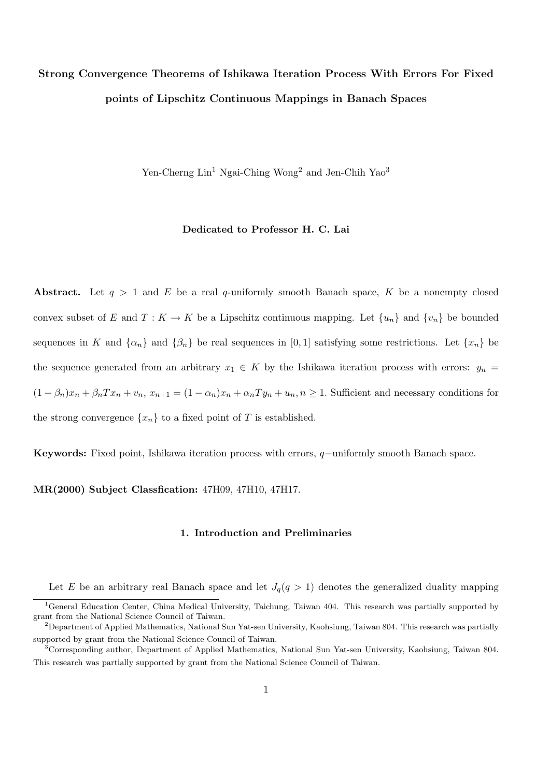# Strong Convergence Theorems of Ishikawa Iteration Process With Errors For Fixed points of Lipschitz Continuous Mappings in Banach Spaces

Yen-Cherng  $\text{Lin}^1$  Ngai-Ching Wong<sup>2</sup> and Jen-Chih Yao<sup>3</sup>

## Dedicated to Professor H. C. Lai

Abstract. Let  $q > 1$  and E be a real q-uniformly smooth Banach space, K be a nonempty closed convex subset of E and  $T: K \to K$  be a Lipschitz continuous mapping. Let  $\{u_n\}$  and  $\{v_n\}$  be bounded sequences in K and  $\{\alpha_n\}$  and  $\{\beta_n\}$  be real sequences in [0, 1] satisfying some restrictions. Let  $\{x_n\}$  be the sequence generated from an arbitrary  $x_1 \in K$  by the Ishikawa iteration process with errors:  $y_n =$  $(1 - \beta_n)x_n + \beta_n Tx_n + v_n, x_{n+1} = (1 - \alpha_n)x_n + \alpha_n Ty_n + u_n, n \ge 1$ . Sufficient and necessary conditions for the strong convergence  $\{x_n\}$  to a fixed point of T is established.

Keywords: Fixed point, Ishikawa iteration process with errors, q−uniformly smooth Banach space.

MR(2000) Subject Classfication: 47H09, 47H10, 47H17.

#### 1. Introduction and Preliminaries

Let E be an arbitrary real Banach space and let  $J_q(q > 1)$  denotes the generalized duality mapping

<sup>&</sup>lt;sup>1</sup>General Education Center, China Medical University, Taichung, Taiwan 404. This research was partially supported by grant from the National Science Council of Taiwan.

<sup>2</sup>Department of Applied Mathematics, National Sun Yat-sen University, Kaohsiung, Taiwan 804. This research was partially supported by grant from the National Science Council of Taiwan.

<sup>3</sup>Corresponding author, Department of Applied Mathematics, National Sun Yat-sen University, Kaohsiung, Taiwan 804. This research was partially supported by grant from the National Science Council of Taiwan.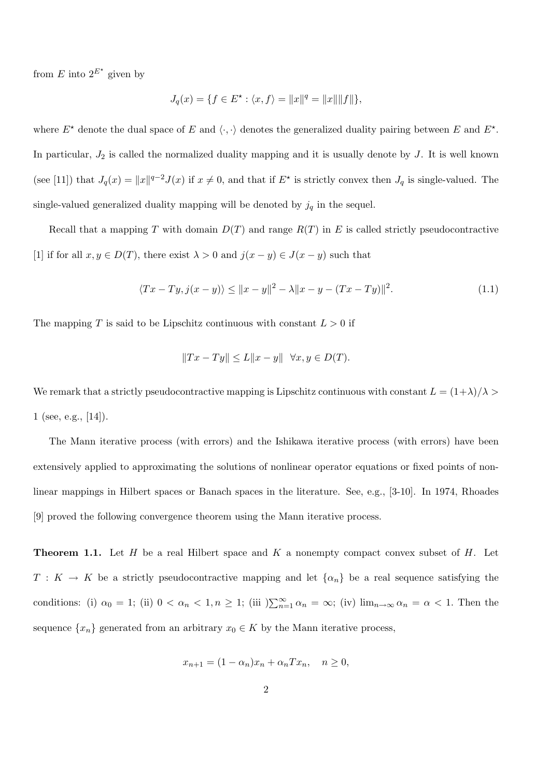from E into  $2^{E^*}$  given by

$$
J_q(x) = \{ f \in E^\star : \langle x, f \rangle = ||x||^q = ||x|| ||f|| \},\
$$

where  $E^*$  denote the dual space of E and  $\langle \cdot, \cdot \rangle$  denotes the generalized duality pairing between E and  $E^*$ . In particular,  $J_2$  is called the normalized duality mapping and it is usually denote by  $J$ . It is well known (see [11]) that  $J_q(x) = ||x||^{q-2}J(x)$  if  $x \neq 0$ , and that if  $E^*$  is strictly convex then  $J_q$  is single-valued. The single-valued generalized duality mapping will be denoted by  $j_q$  in the sequel.

Recall that a mapping T with domain  $D(T)$  and range  $R(T)$  in E is called strictly pseudocontractive [1] if for all  $x, y \in D(T)$ , there exist  $\lambda > 0$  and  $j(x - y) \in J(x - y)$  such that

$$
\langle Tx - Ty, j(x - y) \rangle \le ||x - y||^2 - \lambda ||x - y - (Tx - Ty)||^2.
$$
 (1.1)

The mapping T is said to be Lipschitz continuous with constant  $L > 0$  if

$$
||Tx - Ty|| \le L||x - y|| \quad \forall x, y \in D(T).
$$

We remark that a strictly pseudocontractive mapping is Lipschitz continuous with constant  $L = (1+\lambda)/\lambda$  $1$  (see, e.g., [14]).

The Mann iterative process (with errors) and the Ishikawa iterative process (with errors) have been extensively applied to approximating the solutions of nonlinear operator equations or fixed points of nonlinear mappings in Hilbert spaces or Banach spaces in the literature. See, e.g., [3-10]. In 1974, Rhoades [9] proved the following convergence theorem using the Mann iterative process.

**Theorem 1.1.** Let  $H$  be a real Hilbert space and  $K$  a nonempty compact convex subset of  $H$ . Let  $T: K \to K$  be a strictly pseudocontractive mapping and let  $\{\alpha_n\}$  be a real sequence satisfying the conditions: (i)  $\alpha_0 = 1$ ; (ii)  $0 < \alpha_n < 1, n \ge 1$ ; (iii)  $\sum_{n=1}^{\infty} \alpha_n = \infty$ ; (iv)  $\lim_{n \to \infty} \alpha_n = \alpha < 1$ . Then the sequence  $\{x_n\}$  generated from an arbitrary  $x_0 \in K$  by the Mann iterative process,

$$
x_{n+1} = (1 - \alpha_n)x_n + \alpha_n Tx_n, \quad n \ge 0,
$$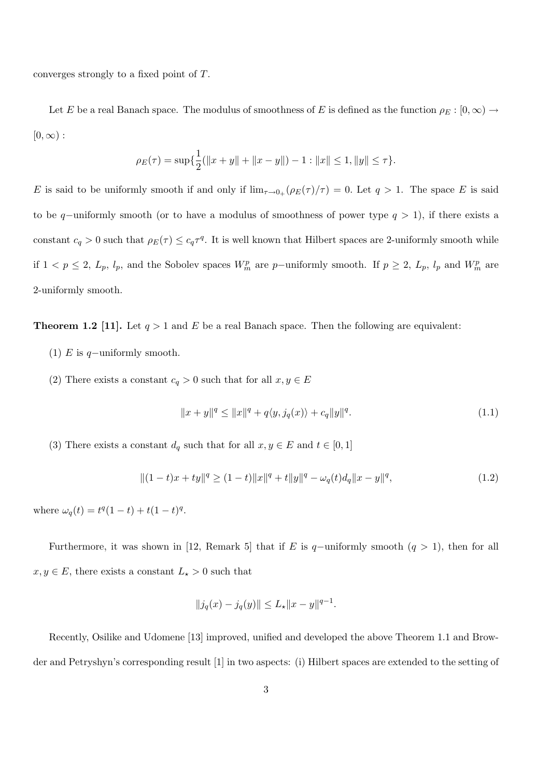converges strongly to a fixed point of T.

Let E be a real Banach space. The modulus of smoothness of E is defined as the function  $\rho_E : [0, \infty) \to$  $[0,\infty)$ :

$$
\rho_E(\tau) = \sup \{ \frac{1}{2}(\|x+y\| + \|x-y\|) - 1 : \|x\| \le 1, \|y\| \le \tau \}.
$$

E is said to be uniformly smooth if and only if  $\lim_{\tau\to 0+} (\rho_E(\tau)/\tau) = 0$ . Let  $q > 1$ . The space E is said to be q–uniformly smooth (or to have a modulus of smoothness of power type  $q > 1$ ), if there exists a constant  $c_q > 0$  such that  $\rho_E(\tau) \leq c_q \tau^q$ . It is well known that Hilbert spaces are 2-uniformly smooth while if  $1 < p \le 2$ ,  $L_p$ ,  $l_p$ , and the Sobolev spaces  $W_m^p$  are p-uniformly smooth. If  $p \ge 2$ ,  $L_p$ ,  $l_p$  and  $W_m^p$  are 2-uniformly smooth.

**Theorem 1.2 [11].** Let  $q > 1$  and E be a real Banach space. Then the following are equivalent:

- (1) E is q-uniformly smooth.
- (2) There exists a constant  $c_q > 0$  such that for all  $x, y \in E$

$$
||x + y||^{q} \le ||x||^{q} + q\langle y, j_{q}(x)\rangle + c_{q}||y||^{q}.
$$
\n(1.1)

(3) There exists a constant  $d_q$  such that for all  $x, y \in E$  and  $t \in [0, 1]$ 

$$
||(1-t)x + ty||^{q} \ge (1-t)||x||^{q} + t||y||^{q} - \omega_{q}(t)d_{q}||x - y||^{q},
$$
\n(1.2)

where  $\omega_q(t) = t^q(1-t) + t(1-t)^q$ .

Furthermore, it was shown in [12, Remark 5] that if E is q-uniformly smooth  $(q > 1)$ , then for all  $x, y \in E$ , there exists a constant  $L_{\star} > 0$  such that

$$
||j_q(x) - j_q(y)|| \le L_\star ||x - y||^{q-1}.
$$

Recently, Osilike and Udomene [13] improved, unified and developed the above Theorem 1.1 and Browder and Petryshyn's corresponding result [1] in two aspects: (i) Hilbert spaces are extended to the setting of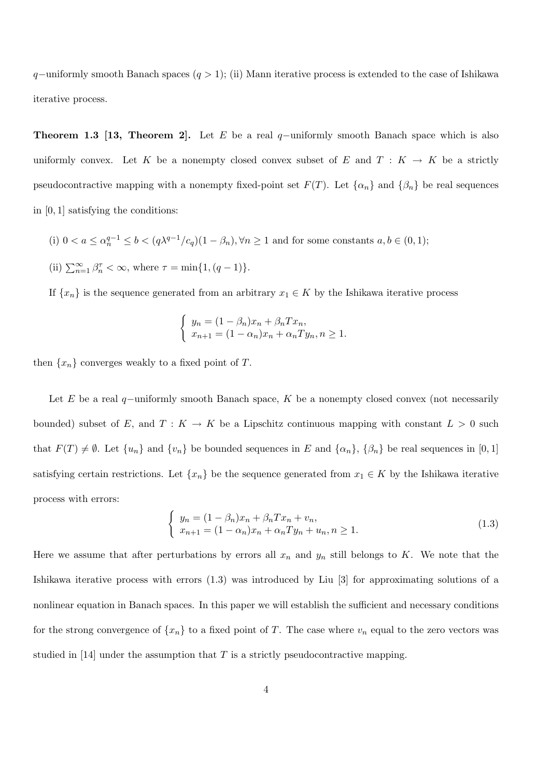q–uniformly smooth Banach spaces  $(q > 1)$ ; (ii) Mann iterative process is extended to the case of Ishikawa iterative process.

Theorem 1.3 [13, Theorem 2]. Let E be a real q-uniformly smooth Banach space which is also uniformly convex. Let K be a nonempty closed convex subset of E and  $T : K \to K$  be a strictly pseudocontractive mapping with a nonempty fixed-point set  $F(T)$ . Let  $\{\alpha_n\}$  and  $\{\beta_n\}$  be real sequences in [0, 1] satisfying the conditions:

- (i)  $0 < a \leq \alpha_n^{q-1} \leq b < (q\lambda^{q-1}/c_q)(1-\beta_n), \forall n \geq 1$  and for some constants  $a, b \in (0,1)$ ;
- (ii)  $\sum_{n=1}^{\infty} \beta_n^{\tau} < \infty$ , where  $\tau = \min\{1, (q-1)\}.$

If  $\{x_n\}$  is the sequence generated from an arbitrary  $x_1 \in K$  by the Ishikawa iterative process

$$
\begin{cases}\n y_n = (1 - \beta_n)x_n + \beta_n Tx_n, \\
 x_{n+1} = (1 - \alpha_n)x_n + \alpha_n Ty_n, n \ge 1.\n\end{cases}
$$

then  $\{x_n\}$  converges weakly to a fixed point of T.

Let E be a real q–uniformly smooth Banach space, K be a nonempty closed convex (not necessarily bounded) subset of E, and  $T: K \to K$  be a Lipschitz continuous mapping with constant  $L > 0$  such that  $F(T) \neq \emptyset$ . Let  $\{u_n\}$  and  $\{v_n\}$  be bounded sequences in E and  $\{\alpha_n\}$ ,  $\{\beta_n\}$  be real sequences in [0, 1] satisfying certain restrictions. Let  $\{x_n\}$  be the sequence generated from  $x_1 \in K$  by the Ishikawa iterative process with errors:

$$
\begin{cases}\n y_n = (1 - \beta_n)x_n + \beta_n Tx_n + v_n, \\
 x_{n+1} = (1 - \alpha_n)x_n + \alpha_n Ty_n + u_n, \quad n \ge 1.\n\end{cases}
$$
\n(1.3)

Here we assume that after perturbations by errors all  $x_n$  and  $y_n$  still belongs to K. We note that the Ishikawa iterative process with errors (1.3) was introduced by Liu [3] for approximating solutions of a nonlinear equation in Banach spaces. In this paper we will establish the sufficient and necessary conditions for the strong convergence of  $\{x_n\}$  to a fixed point of T. The case where  $v_n$  equal to the zero vectors was studied in [14] under the assumption that  $T$  is a strictly pseudocontractive mapping.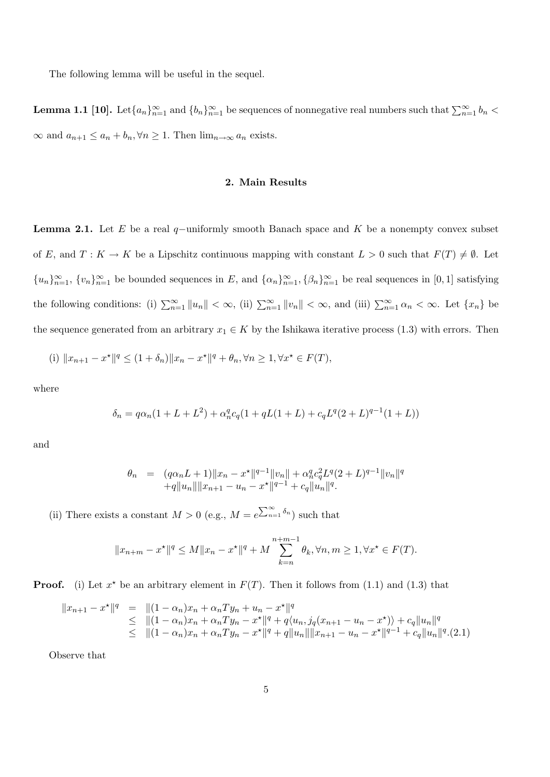The following lemma will be useful in the sequel.

**Lemma 1.1** [10]. Let  $\{a_n\}_{n=1}^{\infty}$  and  $\{b_n\}_{n=1}^{\infty}$  be sequences of nonnegative real numbers such that  $\sum_{n=1}^{\infty} b_n$  $\infty$  and  $a_{n+1} \le a_n + b_n, \forall n \ge 1$ . Then  $\lim_{n \to \infty} a_n$  exists.

## 2. Main Results

**Lemma 2.1.** Let E be a real q–uniformly smooth Banach space and K be a nonempty convex subset of E, and  $T: K \to K$  be a Lipschitz continuous mapping with constant  $L > 0$  such that  $F(T) \neq \emptyset$ . Let  ${u_n}_{n=1}^{\infty}, \{v_n\}_{n=1}^{\infty}$  be bounded sequences in E, and  ${\{\alpha_n\}}_{n=1}^{\infty}, {\{\beta_n\}}_{n=1}^{\infty}$  be real sequences in [0, 1] satisfying the following conditions: (i)  $\sum_{n=1}^{\infty} ||u_n|| < \infty$ , (ii)  $\sum_{n=1}^{\infty} ||v_n|| < \infty$ , and (iii)  $\sum_{n=1}^{\infty} \alpha_n < \infty$ . Let  $\{x_n\}$  be the sequence generated from an arbitrary  $x_1 \in K$  by the Ishikawa iterative process (1.3) with errors. Then

(i) 
$$
||x_{n+1} - x^*||^q \le (1 + \delta_n) ||x_n - x^*||^q + \theta_n, \forall n \ge 1, \forall x^* \in F(T)
$$
,

where

$$
\delta_n = q\alpha_n(1 + L + L^2) + \alpha_n^q c_q(1 + qL(1 + L) + c_q L^q (2 + L)^{q-1} (1 + L))
$$

and

$$
\theta_n = (q\alpha_n L + 1) \|x_n - x^*\|^{q-1} \|v_n\| + \alpha_n^q c_q^2 L^q (2+L)^{q-1} \|v_n\|^q
$$
  
+q||u\_n|| ||x\_{n+1} - u\_n - x^\*||^{q-1} + c\_q ||u\_n||^q.

(ii) There exists a constant  $M > 0$  (e.g.,  $M = e^{\sum_{n=1}^{\infty} \delta_n}$ ) such that

$$
||x_{n+m} - x^*||^q \le M||x_n - x^*||^q + M \sum_{k=n}^{n+m-1} \theta_k, \forall n, m \ge 1, \forall x^* \in F(T).
$$

**Proof.** (i) Let  $x^*$  be an arbitrary element in  $F(T)$ . Then it follows from (1.1) and (1.3) that

$$
||x_{n+1} - x^*||^q = ||(1 - \alpha_n)x_n + \alpha_n Ty_n + u_n - x^*||^q
$$
  
\n
$$
\le ||(1 - \alpha_n)x_n + \alpha_n Ty_n - x^*||^q + q\langle u_n, j_q(x_{n+1} - u_n - x^*) \rangle + c_q ||u_n||^q
$$
  
\n
$$
\le ||(1 - \alpha_n)x_n + \alpha_n Ty_n - x^*||^q + q||u_n|| ||x_{n+1} - u_n - x^*||^{q-1} + c_q ||u_n||^q.(2.1)
$$

Observe that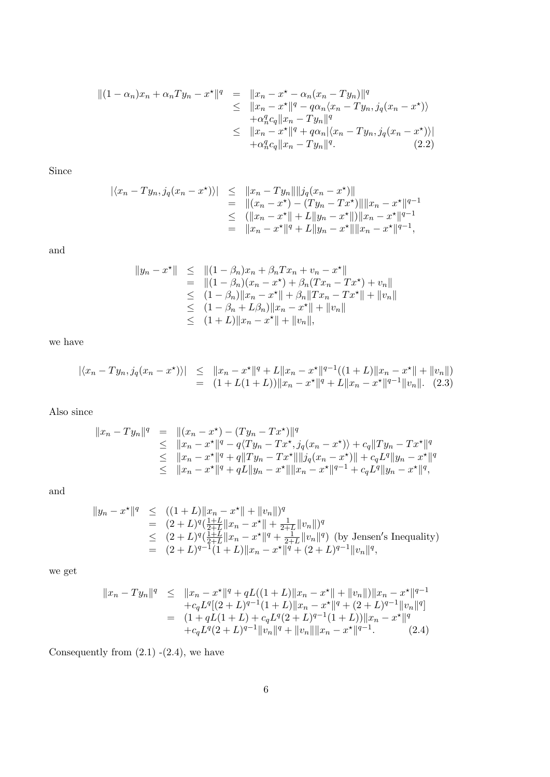$$
\begin{array}{rcl}\n\| (1 - \alpha_n)x_n + \alpha_n Ty_n - x^* \|^q & = & \|x_n - x^* - \alpha_n (x_n - Ty_n) \|^q \\
& \leq & \|x_n - x^* \|^q - q \alpha_n \langle x_n - Ty_n, j_q (x_n - x^*) \rangle \\
& + \alpha_n^q c_q \|x_n - Ty_n \|^q \\
& \leq & \|x_n - x^* \|^q + q \alpha_n |\langle x_n - Ty_n, j_q (x_n - x^*) \rangle| \\
& + \alpha_n^q c_q \|x_n - Ty_n \|^q.\n\end{array}
$$
\n(2.2)

Since

$$
\begin{array}{rcl}\n\left| \langle x_n - Ty_n, j_q(x_n - x^*) \rangle \right| & \leq & \left\| x_n - Ty_n \right\| \left\| j_q(x_n - x^*) \right\| \\
& = & \left\| (x_n - x^*) - (Ty_n - Tx^*) \right\| \left\| x_n - x^* \right\|^{q-1} \\
& \leq & \left( \left\| x_n - x^* \right\| + L \left\| y_n - x^* \right\| \right) \left\| x_n - x^* \right\|^{q-1} \\
& = & \left\| x_n - x^* \right\|^{q} + L \left\| y_n - x^* \right\| \left\| x_n - x^* \right\|^{q-1},\n\end{array}
$$

and

$$
||y_n - x^*|| \le ||(1 - \beta_n)x_n + \beta_n Tx_n + v_n - x^*||
$$
  
\n
$$
= ||(1 - \beta_n)(x_n - x^*) + \beta_n(Tx_n - Tx^*) + v_n||
$$
  
\n
$$
\le (1 - \beta_n) ||x_n - x^*|| + \beta_n ||Tx_n - Tx^*|| + ||v_n||
$$
  
\n
$$
\le (1 - \beta_n + L\beta_n) ||x_n - x^*|| + ||v_n||
$$
  
\n
$$
\le (1 + L) ||x_n - x^*|| + ||v_n||,
$$

we have

$$
\begin{array}{rcl}\n\left| \langle x_n - Ty_n, j_q(x_n - x^*) \rangle \right| & \leq & \left\| x_n - x^* \right\|^q + L \| x_n - x^* \|^q - 1 \left( (1 + L) \| x_n - x^* \| + \| v_n \| \right) \\
& = & \left( 1 + L(1 + L) \right) \| x_n - x^* \|^q + L \| x_n - x^* \|^q - 1 \| v_n \|.\n\end{array}
$$
\n(2.3)

Also since

$$
||x_n - Ty_n||q = ||(x_n - x^*) - (Ty_n - Tx^*)||q
$$
  
\n
$$
\leq ||x_n - x^*||q - q\langle Ty_n - Tx^*, j_q(x_n - x^*) \rangle + c_q ||Ty_n - Tx^*||q
$$
  
\n
$$
\leq ||x_n - x^*||q + q||Ty_n - Tx^*|| ||j_q(x_n - x^*)|| + c_qLq ||y_n - x^*||q
$$
  
\n
$$
\leq ||x_n - x^*||q + qL||y_n - x^*|| ||x_n - x^*||q-1 + c_qLq ||y_n - x^*||q,
$$

and

$$
\|y_n - x^{\star}\|^q \le ( (1+L) \|x_n - x^{\star}\| + \|v_n\|)^q
$$
  
\n
$$
= (2+L)^q (\frac{1+L}{2+L} \|x_n - x^{\star}\| + \frac{1}{2+L} \|v_n\|)^q
$$
  
\n
$$
\le (2+L)^q (\frac{1+L}{2+L} \|x_n - x^{\star}\|^q + \frac{1}{2+L} \|v_n\|^q) \text{ (by Jensen's Inequality)}
$$
  
\n
$$
= (2+L)^{q-1} (1+L) \|x_n - x^{\star}\|^q + (2+L)^{q-1} \|v_n\|^q,
$$

we get

$$
||x_n - Ty_n||^q \le ||x_n - x^*||^q + qL((1+L)||x_n - x^*|| + ||v_n||)||x_n - x^*||^{q-1}
$$
  
\n
$$
+ c_qL^q[(2+L)^{q-1}(1+L)||x_n - x^*||^q + (2+L)^{q-1}||v_n||^q]
$$
  
\n
$$
= (1 + qL(1+L) + c_qL^q(2+L)^{q-1}(1+L))||x_n - x^*||^q
$$
  
\n
$$
+ c_qL^q(2+L)^{q-1}||v_n||^q + ||v_n||||x_n - x^*||^{q-1}.
$$
 (2.4)

Consequently from  $(2.1)$  - $(2.4)$ , we have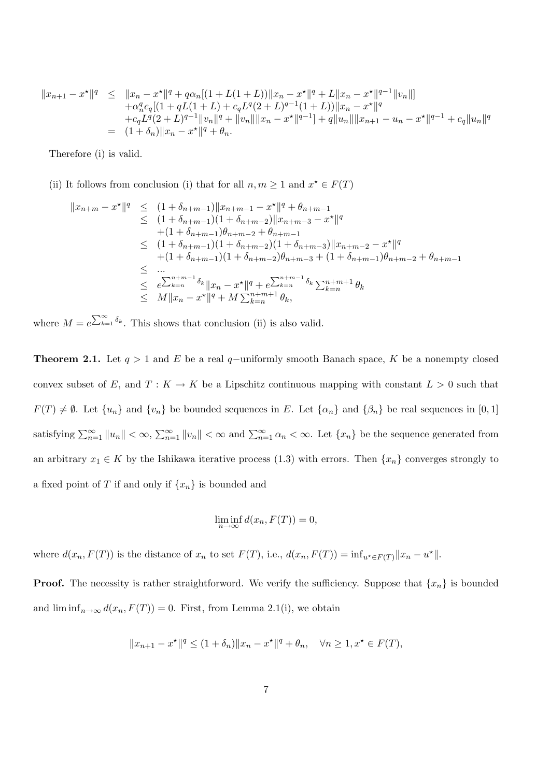$$
||x_{n+1} - x^*||^q \le ||x_n - x^*||^q + q\alpha_n[(1 + L(1 + L))||x_n - x^*||^q + L||x_n - x^*||^{q-1}||v_n||] + \alpha_n^q c_q[(1 + qL(1 + L) + c_qL^q(2 + L)^{q-1}(1 + L))||x_n - x^*||^q + c_qL^q(2 + L)^{q-1}||v_n||^q + ||v_n||||x_n - x^*||^{q-1}] + q||u_n||||x_{n+1} - u_n - x^*||^{q-1} + c_q||u_n||^q = (1 + \delta_n)||x_n - x^*||^q + \theta_n.
$$

Therefore (i) is valid.

(ii) It follows from conclusion (i) that for all  $n, m \geq 1$  and  $x^* \in F(T)$ 

$$
||x_{n+m} - x^*||^q \le (1 + \delta_{n+m-1})||x_{n+m-1} - x^*||^q + \theta_{n+m-1}
$$
  
\n
$$
\le (1 + \delta_{n+m-1})(1 + \delta_{n+m-2})||x_{n+m-3} - x^*||^q
$$
  
\n
$$
+ (1 + \delta_{n+m-1})\theta_{n+m-2} + \theta_{n+m-1}
$$
  
\n
$$
\le (1 + \delta_{n+m-1})(1 + \delta_{n+m-2})(1 + \delta_{n+m-3})||x_{n+m-2} - x^*||^q
$$
  
\n
$$
+ (1 + \delta_{n+m-1})(1 + \delta_{n+m-2})\theta_{n+m-3} + (1 + \delta_{n+m-1})\theta_{n+m-2} + \theta_{n+m-1}
$$
  
\n
$$
\le \dots
$$
  
\n
$$
\le e^{\sum_{k=n}^{n+m-1} \delta_k} ||x_n - x^*||^q + e^{\sum_{k=n}^{n+m-1} \delta_k} \sum_{k=n}^{n+m+1} \theta_k
$$
  
\n
$$
\le M||x_n - x^*||^q + M \sum_{k=n}^{n+m+1} \theta_k,
$$

where  $M = e^{\sum_{k=1}^{\infty} \delta_k}$ . This shows that conclusion (ii) is also valid.

**Theorem 2.1.** Let  $q > 1$  and E be a real q-uniformly smooth Banach space, K be a nonempty closed convex subset of E, and  $T: K \to K$  be a Lipschitz continuous mapping with constant  $L > 0$  such that  $F(T) \neq \emptyset$ . Let  $\{u_n\}$  and  $\{v_n\}$  be bounded sequences in E. Let  $\{\alpha_n\}$  and  $\{\beta_n\}$  be real sequences in [0, 1] satisfying  $\sum_{n=1}^{\infty} ||u_n|| < \infty$ ,  $\sum_{n=1}^{\infty} ||v_n|| < \infty$  and  $\sum_{n=1}^{\infty} \alpha_n < \infty$ . Let  $\{x_n\}$  be the sequence generated from an arbitrary  $x_1 \in K$  by the Ishikawa iterative process (1.3) with errors. Then  $\{x_n\}$  converges strongly to a fixed point of T if and only if  $\{x_n\}$  is bounded and

$$
\liminf_{n \to \infty} d(x_n, F(T)) = 0,
$$

where  $d(x_n, F(T))$  is the distance of  $x_n$  to set  $F(T)$ , i.e.,  $d(x_n, F(T)) = \inf_{u^* \in F(T)} ||x_n - u^*||$ .

**Proof.** The necessity is rather straightforword. We verify the sufficiency. Suppose that  $\{x_n\}$  is bounded and  $\liminf_{n\to\infty} d(x_n, F(T)) = 0$ . First, from Lemma 2.1(i), we obtain

$$
||x_{n+1} - x^*||^q \le (1 + \delta_n) ||x_n - x^*||^q + \theta_n, \quad \forall n \ge 1, x^* \in F(T),
$$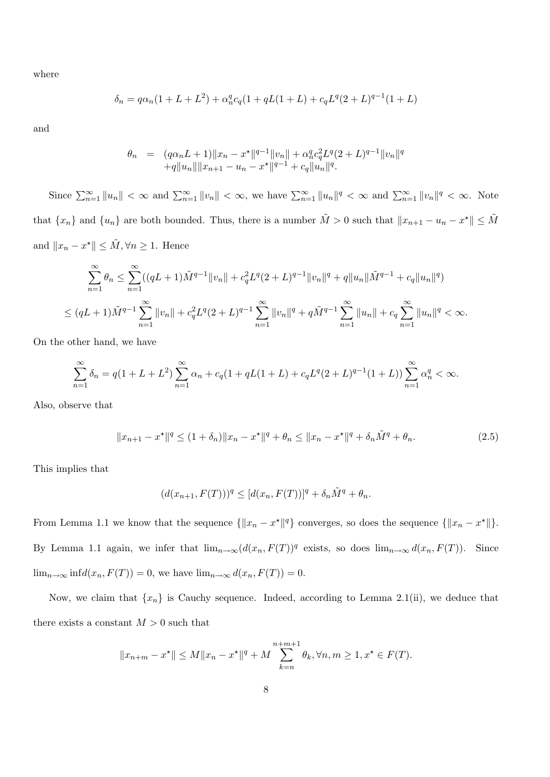where

$$
\delta_n = q\alpha_n(1 + L + L^2) + \alpha_n^q c_q(1 + qL(1 + L) + c_q L^q (2 + L)^{q-1} (1 + L)
$$

and

$$
\begin{array}{lll} \theta_n & = & (q\alpha_n L + 1)\|x_n - x^\star\|^{q-1}\|v_n\| + \alpha_n^q c_q^2 L^q (2+L)^{q-1}\|v_n\|^q\\ & & + q\|u_n\|\|x_{n+1} - u_n - x^\star\|^{q-1} + c_q\|u_n\|^q. \end{array}
$$

Since  $\sum_{n=1}^{\infty} ||u_n|| < \infty$  and  $\sum_{n=1}^{\infty} ||v_n|| < \infty$ , we have  $\sum_{n=1}^{\infty} ||u_n||^q < \infty$  and  $\sum_{n=1}^{\infty} ||v_n||^q < \infty$ . Note that  $\{x_n\}$  and  $\{u_n\}$  are both bounded. Thus, there is a number  $\tilde{M} > 0$  such that  $||x_{n+1} - u_n - x^*|| \leq \tilde{M}$ and  $||x_n - x^*|| \leq \tilde{M}, \forall n \geq 1$ . Hence

$$
\sum_{n=1}^{\infty} \theta_n \le \sum_{n=1}^{\infty} ((qL+1)\tilde{M}^{q-1} ||v_n|| + c_q^2 L^q (2+L)^{q-1} ||v_n||^q + q ||u_n|| \tilde{M}^{q-1} + c_q ||u_n||^q)
$$
  

$$
\le (qL+1)\tilde{M}^{q-1} \sum_{n=1}^{\infty} ||v_n|| + c_q^2 L^q (2+L)^{q-1} \sum_{n=1}^{\infty} ||v_n||^q + q \tilde{M}^{q-1} \sum_{n=1}^{\infty} ||u_n|| + c_q \sum_{n=1}^{\infty} ||u_n||^q < \infty.
$$

On the other hand, we have

$$
\sum_{n=1}^{\infty} \delta_n = q(1 + L + L^2) \sum_{n=1}^{\infty} \alpha_n + c_q(1 + qL(1 + L) + c_q L^q (2 + L)^{q-1} (1 + L)) \sum_{n=1}^{\infty} \alpha_n^q < \infty.
$$

Also, observe that

$$
||x_{n+1} - x^*||^q \le (1 + \delta_n) ||x_n - x^*||^q + \theta_n \le ||x_n - x^*||^q + \delta_n \tilde{M}^q + \theta_n.
$$
 (2.5)

This implies that

$$
(d(x_{n+1},F(T)))^q\leq [d(x_n,F(T))]^q+\delta_n\tilde{M}^q+\theta_n.
$$

From Lemma 1.1 we know that the sequence  $\{\|x_n - x^*\|^q\}$  converges, so does the sequence  $\{\|x_n - x^*\|\}.$ By Lemma 1.1 again, we infer that  $\lim_{n\to\infty} (d(x_n, F(T))^q)$  exists, so does  $\lim_{n\to\infty} d(x_n, F(T))$ . Since  $\lim_{n\to\infty} \inf d(x_n, F(T)) = 0$ , we have  $\lim_{n\to\infty} d(x_n, F(T)) = 0$ .

Now, we claim that  $\{x_n\}$  is Cauchy sequence. Indeed, according to Lemma 2.1(ii), we deduce that there exists a constant  $M > 0$  such that

$$
||x_{n+m} - x^*|| \le M||x_n - x^*||^q + M \sum_{k=n}^{n+m+1} \theta_k, \forall n, m \ge 1, x^* \in F(T).
$$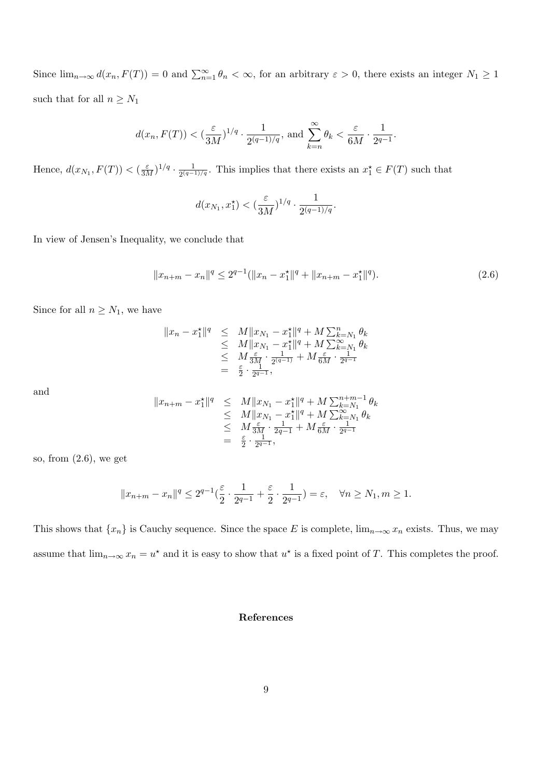Since  $\lim_{n\to\infty} d(x_n, F(T)) = 0$  and  $\sum_{n=1}^{\infty} \theta_n < \infty$ , for an arbitrary  $\varepsilon > 0$ , there exists an integer  $N_1 \geq 1$ such that for all  $n\geq N_1$ 

$$
d(x_n, F(T)) < (\frac{\varepsilon}{3M})^{1/q} \cdot \frac{1}{2^{(q-1)/q}},
$$
 and  $\sum_{k=n}^{\infty} \theta_k < \frac{\varepsilon}{6M} \cdot \frac{1}{2^{q-1}}.$ 

Hence,  $d(x_{N_1}, F(T)) < (\frac{\varepsilon}{3M})^{1/q} \cdot \frac{1}{2^{(q-1)}}$  $\frac{1}{2^{(q-1)/q}}$ . This implies that there exists an  $x_1^*$  ∈  $F(T)$  such that

$$
d(x_{N_1}, x_1^*) < (\frac{\varepsilon}{3M})^{1/q} \cdot \frac{1}{2^{(q-1)/q}}.
$$

In view of Jensen's Inequality, we conclude that

$$
||x_{n+m} - x_n||^q \le 2^{q-1} (||x_n - x_1||^q + ||x_{n+m} - x_1||^q). \tag{2.6}
$$

Since for all  $n \geq N_1$ , we have

$$
||x_n - x_1^*||^q \leq M ||x_{N_1} - x_1^*||^q + M \sum_{k=N_1}^n \theta_k
$$
  
\n
$$
\leq M ||x_{N_1} - x_1^*||^q + M \sum_{k=N_1}^\infty \theta_k
$$
  
\n
$$
\leq M \frac{\varepsilon}{3M} \cdot \frac{1}{2^{(q-1)}} + M \frac{\varepsilon}{6M} \cdot \frac{1}{2^{q-1}}
$$
  
\n
$$
= \frac{\varepsilon}{2} \cdot \frac{1}{2^{q-1}},
$$

and

$$
||x_{n+m} - x_1^*||^q \leq M ||x_{N_1} - x_1^*||^q + M \sum_{k=N_1}^{n+m-1} \theta_k
$$
  
\n
$$
\leq M ||x_{N_1} - x_1^*||^q + M \sum_{k=N_1}^{\infty} \theta_k
$$
  
\n
$$
\leq M \frac{\varepsilon}{3M} \cdot \frac{1}{2q-1} + M \frac{\varepsilon}{6M} \cdot \frac{1}{2q-1}
$$
  
\n
$$
= \frac{\varepsilon}{2} \cdot \frac{1}{2^{q-1}},
$$

so, from (2.6), we get

$$
||x_{n+m}-x_n||^q \le 2^{q-1}(\frac{\varepsilon}{2}\cdot\frac{1}{2^{q-1}}+\frac{\varepsilon}{2}\cdot\frac{1}{2^{q-1}})=\varepsilon, \quad \forall n\ge N_1, m\ge 1.
$$

This shows that  $\{x_n\}$  is Cauchy sequence. Since the space E is complete,  $\lim_{n\to\infty} x_n$  exists. Thus, we may assume that  $\lim_{n\to\infty} x_n = u^*$  and it is easy to show that  $u^*$  is a fixed point of T. This completes the proof.

## References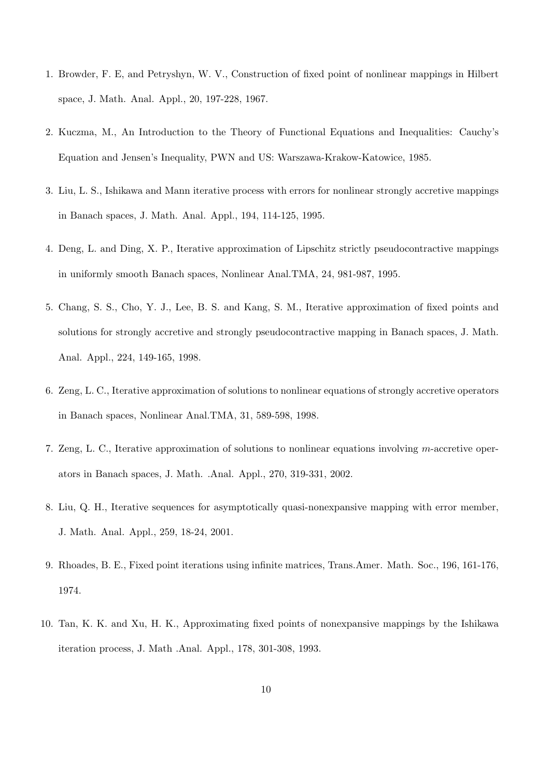- 1. Browder, F. E, and Petryshyn, W. V., Construction of fixed point of nonlinear mappings in Hilbert space, J. Math. Anal. Appl., 20, 197-228, 1967.
- 2. Kuczma, M., An Introduction to the Theory of Functional Equations and Inequalities: Cauchy's Equation and Jensen's Inequality, PWN and US: Warszawa-Krakow-Katowice, 1985.
- 3. Liu, L. S., Ishikawa and Mann iterative process with errors for nonlinear strongly accretive mappings in Banach spaces, J. Math. Anal. Appl., 194, 114-125, 1995.
- 4. Deng, L. and Ding, X. P., Iterative approximation of Lipschitz strictly pseudocontractive mappings in uniformly smooth Banach spaces, Nonlinear Anal.TMA, 24, 981-987, 1995.
- 5. Chang, S. S., Cho, Y. J., Lee, B. S. and Kang, S. M., Iterative approximation of fixed points and solutions for strongly accretive and strongly pseudocontractive mapping in Banach spaces, J. Math. Anal. Appl., 224, 149-165, 1998.
- 6. Zeng, L. C., Iterative approximation of solutions to nonlinear equations of strongly accretive operators in Banach spaces, Nonlinear Anal.TMA, 31, 589-598, 1998.
- 7. Zeng, L. C., Iterative approximation of solutions to nonlinear equations involving m-accretive operators in Banach spaces, J. Math. .Anal. Appl., 270, 319-331, 2002.
- 8. Liu, Q. H., Iterative sequences for asymptotically quasi-nonexpansive mapping with error member, J. Math. Anal. Appl., 259, 18-24, 2001.
- 9. Rhoades, B. E., Fixed point iterations using infinite matrices, Trans.Amer. Math. Soc., 196, 161-176, 1974.
- 10. Tan, K. K. and Xu, H. K., Approximating fixed points of nonexpansive mappings by the Ishikawa iteration process, J. Math .Anal. Appl., 178, 301-308, 1993.